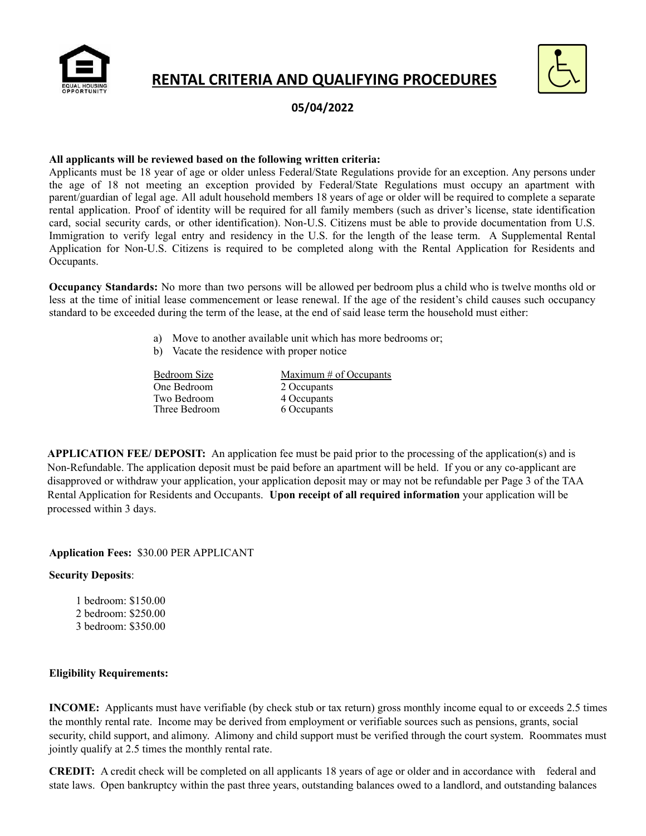

# **RENTAL CRITERIA AND QUALIFYING PROCEDURES**



**05/04/2022**

#### **All applicants will be reviewed based on the following written criteria:**

Applicants must be 18 year of age or older unless Federal/State Regulations provide for an exception. Any persons under the age of 18 not meeting an exception provided by Federal/State Regulations must occupy an apartment with parent/guardian of legal age. All adult household members 18 years of age or older will be required to complete a separate rental application. Proof of identity will be required for all family members (such as driver's license, state identification card, social security cards, or other identification). Non-U.S. Citizens must be able to provide documentation from U.S. Immigration to verify legal entry and residency in the U.S. for the length of the lease term. A Supplemental Rental Application for Non-U.S. Citizens is required to be completed along with the Rental Application for Residents and Occupants.

**Occupancy Standards:** No more than two persons will be allowed per bedroom plus a child who is twelve months old or less at the time of initial lease commencement or lease renewal. If the age of the resident's child causes such occupancy standard to be exceeded during the term of the lease, at the end of said lease term the household must either:

- a) Move to another available unit which has more bedrooms or;
- b) Vacate the residence with proper notice

| Bedroom Size  | Maximum $#$ of Occupants |  |
|---------------|--------------------------|--|
| One Bedroom   | 2 Occupants              |  |
| Two Bedroom   | 4 Occupants              |  |
| Three Bedroom | 6 Occupants              |  |
|               |                          |  |

**APPLICATION FEE/ DEPOSIT:** An application fee must be paid prior to the processing of the application(s) and is Non-Refundable. The application deposit must be paid before an apartment will be held. If you or any co-applicant are disapproved or withdraw your application, your application deposit may or may not be refundable per Page 3 of the TAA Rental Application for Residents and Occupants. **Upon receipt of all required information** your application will be processed within 3 days.

#### **Application Fees:** \$30.00 PER APPLICANT

### **Security Deposits**:

1 bedroom: \$150.00 2 bedroom: \$250.00 3 bedroom: \$350.00

#### **Eligibility Requirements:**

**INCOME:** Applicants must have verifiable (by check stub or tax return) gross monthly income equal to or exceeds 2.5 times the monthly rental rate. Income may be derived from employment or verifiable sources such as pensions, grants, social security, child support, and alimony. Alimony and child support must be verified through the court system. Roommates must jointly qualify at 2.5 times the monthly rental rate.

**CREDIT:** A credit check will be completed on all applicants 18 years of age or older and in accordance with federal and state laws. Open bankruptcy within the past three years, outstanding balances owed to a landlord, and outstanding balances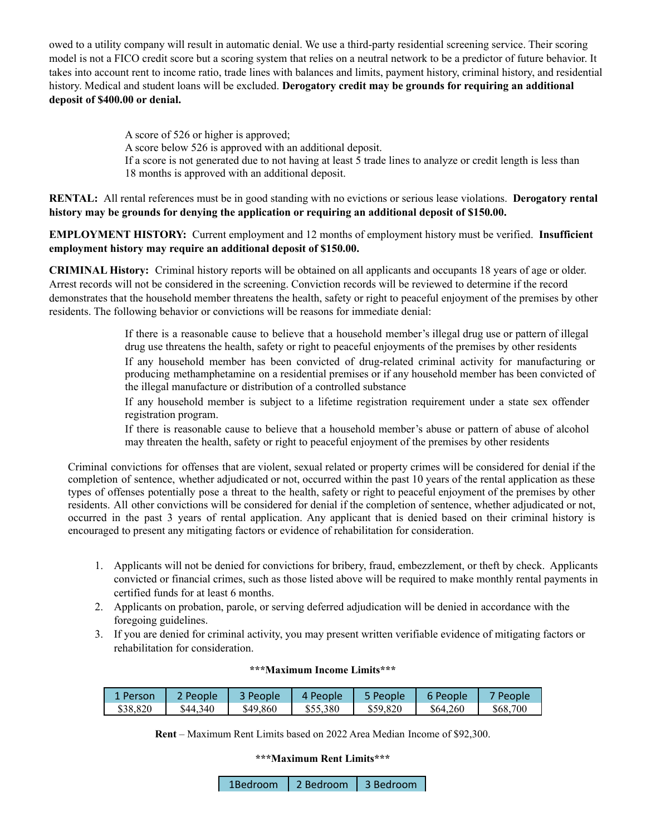owed to a utility company will result in automatic denial. We use a third-party residential screening service. Their scoring model is not a FICO credit score but a scoring system that relies on a neutral network to be a predictor of future behavior. It takes into account rent to income ratio, trade lines with balances and limits, payment history, criminal history, and residential history. Medical and student loans will be excluded. **Derogatory credit may be grounds for requiring an additional deposit of \$400.00 or denial.**

> A score of 526 or higher is approved; A score below 526 is approved with an additional deposit. If a score is not generated due to not having at least 5 trade lines to analyze or credit length is less than 18 months is approved with an additional deposit.

**RENTAL:** All rental references must be in good standing with no evictions or serious lease violations. **Derogatory rental history may be grounds for denying the application or requiring an additional deposit of \$150.00.**

**EMPLOYMENT HISTORY:** Current employment and 12 months of employment history must be verified. **Insufficient employment history may require an additional deposit of \$150.00.**

**CRIMINAL History:** Criminal history reports will be obtained on all applicants and occupants 18 years of age or older. Arrest records will not be considered in the screening. Conviction records will be reviewed to determine if the record demonstrates that the household member threatens the health, safety or right to peaceful enjoyment of the premises by other residents. The following behavior or convictions will be reasons for immediate denial:

> If there is a reasonable cause to believe that a household member's illegal drug use or pattern of illegal drug use threatens the health, safety or right to peaceful enjoyments of the premises by other residents If any household member has been convicted of drug-related criminal activity for manufacturing or producing methamphetamine on a residential premises or if any household member has been convicted of the illegal manufacture or distribution of a controlled substance

If any household member is subject to a lifetime registration requirement under a state sex offender registration program.

If there is reasonable cause to believe that a household member's abuse or pattern of abuse of alcohol may threaten the health, safety or right to peaceful enjoyment of the premises by other residents

Criminal convictions for offenses that are violent, sexual related or property crimes will be considered for denial if the completion of sentence, whether adjudicated or not, occurred within the past 10 years of the rental application as these types of offenses potentially pose a threat to the health, safety or right to peaceful enjoyment of the premises by other residents. All other convictions will be considered for denial if the completion of sentence, whether adjudicated or not, occurred in the past 3 years of rental application. Any applicant that is denied based on their criminal history is encouraged to present any mitigating factors or evidence of rehabilitation for consideration.

- 1. Applicants will not be denied for convictions for bribery, fraud, embezzlement, or theft by check. Applicants convicted or financial crimes, such as those listed above will be required to make monthly rental payments in certified funds for at least 6 months.
- 2. Applicants on probation, parole, or serving deferred adjudication will be denied in accordance with the foregoing guidelines.
- 3. If you are denied for criminal activity, you may present written verifiable evidence of mitigating factors or rehabilitation for consideration.

| 1 Person | People   | 3 People | 4 People | People   | <sup>•</sup> People | <sup>-</sup> People |
|----------|----------|----------|----------|----------|---------------------|---------------------|
| \$38,820 | \$44.340 | \$49,860 | \$55,380 | \$59,820 | \$64,260            | \$68,700            |

#### **\*\*\*Maximum Income Limits\*\*\***

**Rent** – Maximum Rent Limits based on 2022 Area Median Income of \$92,300.

**\*\*\*Maximum Rent Limits\*\*\***

| 2 Bedroom<br>1Bedroom | 3 Bedroom |
|-----------------------|-----------|
|-----------------------|-----------|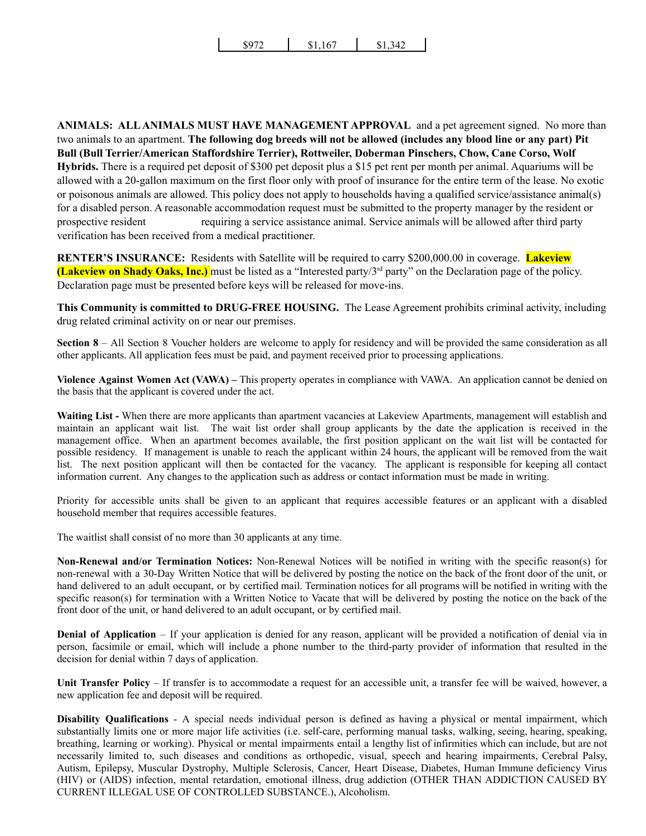**ANIMALS: ALLANIMALS MUST HAVE MANAGEMENT APPROVAL** and a pet agreement signed. No more than two animals to an apartment. **The following dog breeds will not be allowed (includes any blood line or any part) Pit Bull (Bull Terrier/American Staffordshire Terrier), Rottweiler, Doberman Pinschers, Chow, Cane Corso, Wolf Hybrids.** There is a required pet deposit of \$300 pet deposit plus a \$15 pet rent per month per animal. Aquariums will be allowed with a 20-gallon maximum on the first floor only with proof of insurance for the entire term of the lease. No exotic or poisonous animals are allowed. This policy does not apply to households having a qualified service/assistance animal(s) for a disabled person. A reasonable accommodation request must be submitted to the property manager by the resident or prospective resident requiring a service assistance animal. Service animals will be allowed after third party verification has been received from a medical practitioner.

**RENTER'S INSURANCE:** Residents with Satellite will be required to carry \$200,000.00 in coverage. **Lakeview (Lakeview on Shady Oaks, Inc.)** must be listed as a "Interested party/3rd party" on the Declaration page of the policy. Declaration page must be presented before keys will be released for move-ins.

**This Community is committed to DRUG-FREE HOUSING.** The Lease Agreement prohibits criminal activity, including drug related criminal activity on or near our premises.

**Section 8** – All Section 8 Voucher holders are welcome to apply for residency and will be provided the same consideration as all other applicants. All application fees must be paid, and payment received prior to processing applications.

**Violence Against Women Act (VAWA) –** This property operates in compliance with VAWA. An application cannot be denied on the basis that the applicant is covered under the act.

**Waiting List -** When there are more applicants than apartment vacancies at Lakeview Apartments, management will establish and maintain an applicant wait list. The wait list order shall group applicants by the date the application is received in the management office. When an apartment becomes available, the first position applicant on the wait list will be contacted for possible residency. If management is unable to reach the applicant within 24 hours, the applicant will be removed from the wait list. The next position applicant will then be contacted for the vacancy. The applicant is responsible for keeping all contact information current. Any changes to the application such as address or contact information must be made in writing.

Priority for accessible units shall be given to an applicant that requires accessible features or an applicant with a disabled household member that requires accessible features.

The waitlist shall consist of no more than 30 applicants at any time.

**Non-Renewal and/or Termination Notices:** Non-Renewal Notices will be notified in writing with the specific reason(s) for non-renewal with a 30-Day Written Notice that will be delivered by posting the notice on the back of the front door of the unit, or hand delivered to an adult occupant, or by certified mail. Termination notices for all programs will be notified in writing with the specific reason(s) for termination with a Written Notice to Vacate that will be delivered by posting the notice on the back of the front door of the unit, or hand delivered to an adult occupant, or by certified mail.

**Denial of Application** – If your application is denied for any reason, applicant will be provided a notification of denial via in person, facsimile or email, which will include a phone number to the third-party provider of information that resulted in the decision for denial within 7 days of application.

**Unit Transfer Policy** – If transfer is to accommodate a request for an accessible unit, a transfer fee will be waived, however, a new application fee and deposit will be required.

**Disability Qualifications** - A special needs individual person is defined as having a physical or mental impairment, which substantially limits one or more major life activities (i.e. self-care, performing manual tasks, walking, seeing, hearing, speaking, breathing, learning or working). Physical or mental impairments entail a lengthy list of infirmities which can include, but are not necessarily limited to, such diseases and conditions as orthopedic, visual, speech and hearing impairments, Cerebral Palsy, Autism, Epilepsy, Muscular Dystrophy, Multiple Sclerosis, Cancer, Heart Disease, Diabetes, Human Immune deficiency Virus (HIV) or (AIDS) infection, mental retardation, emotional illness, drug addiction (OTHER THAN ADDICTION CAUSED BY CURRENT ILLEGAL USE OF CONTROLLED SUBSTANCE.), Alcoholism.